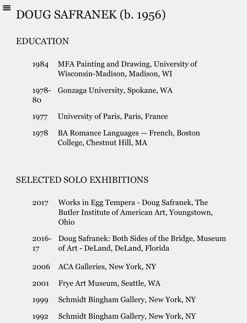# <span id="page-0-0"></span>DOUG SAFRANEK (b. 1956) [≡](#page-0-0)

## EDUCATION

| 1984 | MFA Painting and Drawing, University of<br>Wisconsin-Madison, Madison, WI |
|------|---------------------------------------------------------------------------|
| 80   | 1978 - Gonzaga University, Spokane, WA                                    |
| 1977 | University of Paris, Paris, France                                        |
| 1978 | BA Romance Languages — French, Boston<br>College, Chestnut Hill, MA       |

### SELECTED SOLO EXHIBITIONS

- 2017 Works in Egg Tempera Doug Safranek, The Butler Institute of American Art, Youngstown, Ohio
- 2016- Doug Safranek: Both Sides of the Bridge, Museum 17 of Art - DeLand, DeLand, Florida
- 2006 ACA Galleries, New York, NY
- 2001 Frye Art Museum, Seattle, WA
- 1999 Schmidt Bingham Gallery, New York, NY
- 1992 Schmidt Bingham Gallery, New York, NY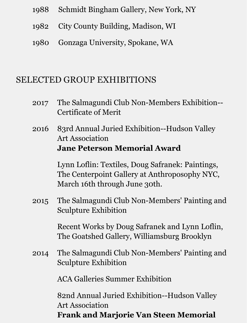- 1988 Schmidt Bingham Gallery, New York, NY
- 1982 City County Building, Madison, WI
- 1980 Gonzaga University, Spokane, WA

### SELECTED GROUP EXHIBITIONS

- 2017 The Salmagundi Club Non-Members Exhibition-- Certificate of Merit
- 2016 83rd Annual Juried Exhibition--Hudson Valley Art Association **Jane Peterson Memorial Award**

Lynn Loflin: Textiles, Doug Safranek: Paintings, The Centerpoint Gallery at Anthroposophy NYC, March 16th through June 30th.

2015 The Salmagundi Club Non-Members' Painting and Sculpture Exhibition

> Recent Works by Doug Safranek and Lynn Loflin, The Goatshed Gallery, Williamsburg Brooklyn

2014 The Salmagundi Club Non-Members' Painting and Sculpture Exhibition

ACA Galleries Summer Exhibition

82nd Annual Juried Exhibition--Hudson Valley Art Association **Frank and Marjorie Van Steen Memorial**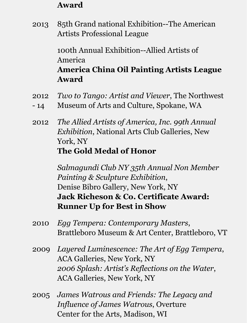#### **Award**

2013 85th Grand national Exhibition--The American Artists Professional League

> 100th Annual Exhibition--Allied Artists of America **America China Oil Painting Artists League Award**

- 2012 *Two to Tango: Artist and Viewer*, The Northwest
- $-14$ Museum of Arts and Culture, Spokane, WA
- 2012 *The Allied Artists of America, Inc. 99th Annual Exhibition*, National Arts Club Galleries, New York, NY **The Gold Medal of Honor**

*Salmagundi Club NY 35th Annual Non Member Painting & Sculpture Exhibition*, Denise Bibro Gallery, New York, NY **Jack Richeson & Co. Certificate Award: Runner Up for Best in Show**

- 2010 *Egg Tempera: Contemporary Masters*, Brattleboro Museum & Art Center, Brattleboro, VT
- 2009 *Layered Luminescence: The Art of Egg Tempera*, ACA Galleries, New York, NY *2006 Splash: Artist's Reflections on the Water*, ACA Galleries, New York, NY
- 2005 *James Watrous and Friends: The Legacy and Influence of James Watrous*, Overture Center for the Arts, Madison, WI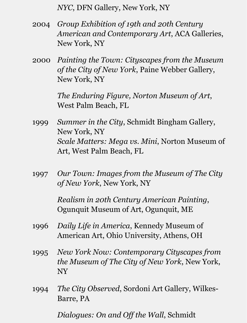*NYC*, DFN Gallery, New York, NY

- 2004 *Group Exhibition of 19th and 20th Century American and Contemporary Art*, ACA Galleries, New York, NY
- 2000 *Painting the Town: Cityscapes from the Museum of the City of New York*, Paine Webber Gallery, New York, NY

*The Enduring Figure, Norton Museum of Art*, West Palm Beach, FL

- 1999 *Summer in the City*, Schmidt Bingham Gallery, New York, NY *Scale Matters: Mega vs. Mini*, Norton Museum of Art, West Palm Beach, FL
- 1997 *Our Town: Images from the Museum of The City of New York*, New York, NY

*Realism in 20th Century American Painting*, Ogunquit Museum of Art, Ogunquit, ME

- 1996 *Daily Life in America*, Kennedy Museum of American Art, Ohio University, Athens, OH
- 1995 *New York Now: Contemporary Cityscapes from the Museum of The City of New York*, New York, NY
- 1994 *The City Observed*, Sordoni Art Gallery, Wilkes-Barre, PA

*Dialogues: On and Off the Wall*, Schmidt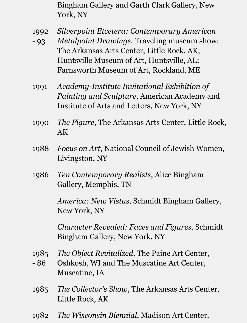Bingham Gallery and Garth Clark Gallery, New York, NY

- 1992 - 93 *Silverpoint Etcetera: Contemporary American Metalpoint Drawings*. Traveling museum show: The Arkansas Arts Center, Little Rock, AK; Huntsville Museum of Art, Huntsville, AL; Farnsworth Museum of Art, Rockland, ME
- 1991 *Academy-Institute Invitational Exhibition of Painting and Sculpture*, American Academy and Institute of Arts and Letters, New York, NY
- 1990 *The Figure*, The Arkansas Arts Center, Little Rock, AK
- 1988 *Focus on Art*, National Council of Jewish Women, Livingston, NY
- 1986 *Ten Contemporary Realists*, Alice Bingham Gallery, Memphis, TN

*America: New Vistas*, Schmidt Bingham Gallery, New York, NY

*Character Revealed: Faces and Figures*, Schmidt Bingham Gallery, New York, NY

- 1985 *The Object Revitalized*, The Paine Art Center,
- 86 Oshkosh, WI and The Muscatine Art Center, Muscatine, IA
- 1985 *The Collector's Show*, The Arkansas Arts Center, Little Rock, AK
- 1982 *The Wisconsin Biennial*, Madison Art Center,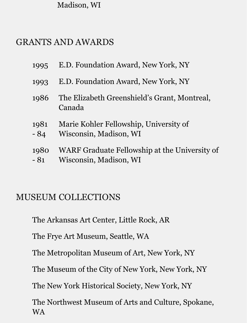Madison, WI

### GRANTS AND AWARDS

| 1995          | E.D. Foundation Award, New York, NY                                     |
|---------------|-------------------------------------------------------------------------|
| 1993          | E.D. Foundation Award, New York, NY                                     |
| 1986          | The Elizabeth Greenshield's Grant, Montreal,<br>Canada                  |
| 1981<br>$-84$ | Marie Kohler Fellowship, University of<br>Wisconsin, Madison, WI        |
| 1980<br>$-81$ | WARF Graduate Fellowship at the University of<br>Wisconsin, Madison, WI |

### MUSEUM COLLECTIONS

The Arkansas Art Center, Little Rock, AR

The Frye Art Museum, Seattle, WA

The Metropolitan Museum of Art, New York, NY

The Museum of the City of New York, New York, NY

The New York Historical Society, New York, NY

The Northwest Museum of Arts and Culture, Spokane, WA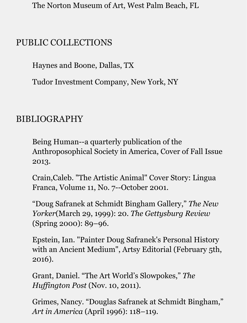The Norton Museum of Art, West Palm Beach, FL

## PUBLIC COLLECTIONS

Haynes and Boone, Dallas, TX

Tudor Investment Company, New York, NY

### BIBLIOGRAPHY

Being Human--a quarterly publication of the Anthroposophical Society in America, Cover of Fall Issue 2013.

Crain,Caleb. "The Artistic Animal" Cover Story: Lingua Franca, Volume 11, No. 7--October 2001.

"Doug Safranek at Schmidt Bingham Gallery," *The New Yorker*(March 29, 1999): 20. *The Gettysburg Review* (Spring 2000): 89–96.

Epstein, Ian. "Painter Doug Safranek's Personal History with an Ancient Medium", Artsy Editorial (February 5th, 2016).

Grant, Daniel. "The Art World's Slowpokes," *The Huffington Post* (Nov. 10, 2011).

Grimes, Nancy. "Douglas Safranek at Schmidt Bingham," *Art in America* (April 1996): 118–119.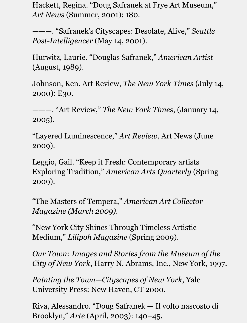Hackett, Regina. "Doug Safranek at Frye Art Museum," *Art News* (Summer, 2001): 180.

———. "Safranek's Cityscapes: Desolate, Alive," *Seattle Post-Intelligencer* (May 14, 2001).

Hurwitz, Laurie. "Douglas Safranek," *American Artist* (August, 1989).

Johnson, Ken. Art Review, *The New York Times* (July 14, 2000): E30.

———. "Art Review," *The New York Times*, (January 14, 2005).

"Layered Luminescence," *Art Review*, Art News (June 2009).

Leggio, Gail. "Keep it Fresh: Contemporary artists Exploring Tradition," *American Arts Quarterly* (Spring 2009).

"The Masters of Tempera," *American Art Collector Magazine (March 2009).*

"New York City Shines Through Timeless Artistic Medium," *Lilipoh Magazine* (Spring 2009).

*Our Town: Images and Stories from the Museum of the City of New York*, Harry N. Abrams, Inc., New York, 1997.

*Painting the Town—Cityscapes of New York*, Yale University Press: New Haven, CT 2000.

Riva, Alessandro. "Doug Safranek — Il volto nascosto di Brooklyn," *Arte* (April, 2003): 140–45.